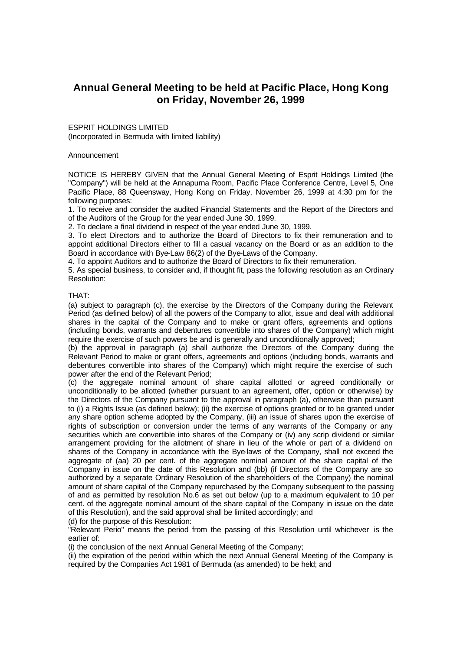## **Annual General Meeting to be held at Pacific Place, Hong Kong on Friday, November 26, 1999**

ESPRIT HOLDINGS LIMITED (Incorporated in Bermuda with limited liability)

## Announcement

NOTICE IS HEREBY GIVEN that the Annual General Meeting of Esprit Holdings Limited (the "Company'') will be held at the Annapurna Room, Pacific Place Conference Centre, Level 5, One Pacific Place, 88 Queensway, Hong Kong on Friday, November 26, 1999 at 4:30 pm for the following purposes:

1. To receive and consider the audited Financial Statements and the Report of the Directors and of the Auditors of the Group for the year ended June 30, 1999.

2. To declare a final dividend in respect of the year ended June 30, 1999.

3. To elect Directors and to authorize the Board of Directors to fix their remuneration and to appoint additional Directors either to fill a casual vacancy on the Board or as an addition to the Board in accordance with Bye-Law 86(2) of the Bye-Laws of the Company.

4. To appoint Auditors and to authorize the Board of Directors to fix their remuneration.

5. As special business, to consider and, if thought fit, pass the following resolution as an Ordinary Resolution:

## THAT:

(a) subject to paragraph (c), the exercise by the Directors of the Company during the Relevant Period (as defined below) of all the powers of the Company to allot, issue and deal with additional shares in the capital of the Company and to make or grant offers, agreements and options (including bonds, warrants and debentures convertible into shares of the Company) which might require the exercise of such powers be and is generally and unconditionally approved;

(b) the approval in paragraph (a) shall authorize the Directors of the Company during the Relevant Period to make or grant offers, agreements and options (including bonds, warrants and debentures convertible into shares of the Company) which might require the exercise of such power after the end of the Relevant Period;

(c) the aggregate nominal amount of share capital allotted or agreed conditionally or unconditionally to be allotted (whether pursuant to an agreement, offer, option or otherwise) by the Directors of the Company pursuant to the approval in paragraph (a), otherwise than pursuant to (i) a Rights Issue (as defined below); (ii) the exercise of options granted or to be granted under any share option scheme adopted by the Company, (iii) an issue of shares upon the exercise of rights of subscription or conversion under the terms of any warrants of the Company or any securities which are convertible into shares of the Company or (iv) any scrip dividend or similar arrangement providing for the allotment of share in lieu of the whole or part of a dividend on shares of the Company in accordance with the Bye-laws of the Company, shall not exceed the aggregate of (aa) 20 per cent. of the aggregate nominal amount of the share capital of the Company in issue on the date of this Resolution and (bb) (if Directors of the Company are so authorized by a separate Ordinary Resolution of the shareholders of the Company) the nominal amount of share capital of the Company repurchased by the Company subsequent to the passing of and as permitted by resolution No.6 as set out below (up to a maximum equivalent to 10 per cent. of the aggregate nominal amount of the share capital of the Company in issue on the date of this Resolution), and the said approval shall be limited accordingly; and (d) for the purpose of this Resolution:

"Relevant Perio" means the period from the passing of this Resolution until whichever is the earlier of:

(i) the conclusion of the next Annual General Meeting of the Company;

(ii) the expiration of the period within which the next Annual General Meeting of the Company is required by the Companies Act 1981 of Bermuda (as amended) to be held; and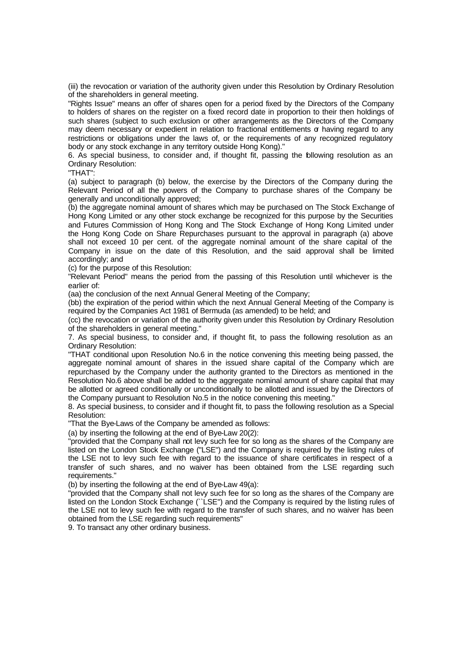(iii) the revocation or variation of the authority given under this Resolution by Ordinary Resolution of the shareholders in general meeting.

"Rights Issue" means an offer of shares open for a period fixed by the Directors of the Company to holders of shares on the register on a fixed record date in proportion to their then holdings of such shares (subject to such exclusion or other arrangements as the Directors of the Company may deem necessary or expedient in relation to fractional entitlements  $\sigma$  having regard to any restrictions or obligations under the laws of, or the requirements of any recognized regulatory body or any stock exchange in any territory outside Hong Kong).''

6. As special business, to consider and, if thought fit, passing the following resolution as an Ordinary Resolution:

"THAT":

(a) subject to paragraph (b) below, the exercise by the Directors of the Company during the Relevant Period of all the powers of the Company to purchase shares of the Company be generally and unconditionally approved;

(b) the aggregate nominal amount of shares which may be purchased on The Stock Exchange of Hong Kong Limited or any other stock exchange be recognized for this purpose by the Securities and Futures Commission of Hong Kong and The Stock Exchange of Hong Kong Limited under the Hong Kong Code on Share Repurchases pursuant to the approval in paragraph (a) above shall not exceed 10 per cent. of the aggregate nominal amount of the share capital of the Company in issue on the date of this Resolution, and the said approval shall be limited accordingly; and

(c) for the purpose of this Resolution:

"Relevant Period" means the period from the passing of this Resolution until whichever is the earlier of:

(aa) the conclusion of the next Annual General Meeting of the Company;

(bb) the expiration of the period within which the next Annual General Meeting of the Company is required by the Companies Act 1981 of Bermuda (as amended) to be held; and

(cc) the revocation or variation of the authority given under this Resolution by Ordinary Resolution of the shareholders in general meeting."

7. As special business, to consider and, if thought fit, to pass the following resolution as an Ordinary Resolution:

"THAT conditional upon Resolution No.6 in the notice convening this meeting being passed, the aggregate nominal amount of shares in the issued share capital of the Company which are repurchased by the Company under the authority granted to the Directors as mentioned in the Resolution No.6 above shall be added to the aggregate nominal amount of share capital that may be allotted or agreed conditionally or unconditionally to be allotted and issued by the Directors of the Company pursuant to Resolution No.5 in the notice convening this meeting."

8. As special business, to consider and if thought fit, to pass the following resolution as a Special Resolution:

"That the Bye-Laws of the Company be amended as follows:

(a) by inserting the following at the end of Bye-Law 20(2):

"provided that the Company shall not levy such fee for so long as the shares of the Company are listed on the London Stock Exchange ("LSE") and the Company is required by the listing rules of the LSE not to levy such fee with regard to the issuance of share certificates in respect of a transfer of such shares, and no waiver has been obtained from the LSE regarding such requirements."

(b) by inserting the following at the end of Bye-Law 49(a):

"provided that the Company shall not levy such fee for so long as the shares of the Company are listed on the London Stock Exchange (``LSE'') and the Company is required by the listing rules of the LSE not to levy such fee with regard to the transfer of such shares, and no waiver has been obtained from the LSE regarding such requirements"

9. To transact any other ordinary business.